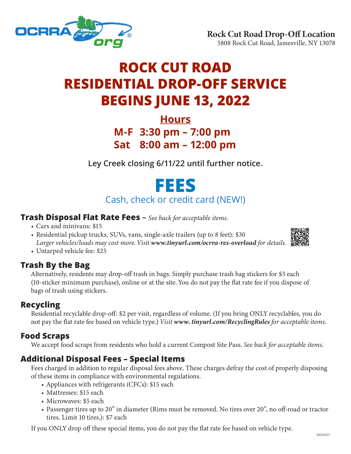

# **ROCK CUT ROAD RESIDENTIAL DROP-OFF SERVICE BEGINS JUNE 13, 2022**

# **Hours M-F 3:30 pm – 7:00 pm Sat 8:00 am – 12:00 pm**

**Ley Creek closing 6/11/22 until further notice.**

# **FEES** Cash, check or credit card (NEW!)

### **Trash Disposal Flat Rate Fees –** *See back for acceptable items.*

- Cars and minivans: \$15
- Residential pickup trucks, SUVs, vans, single-axle trailers (up to 8 feet): \$30 *Larger vehicles/loads may cost more. Visit www.tinyurl.com/ocrra-res-overload for details.*
- 

• Untarped vehicle fee: \$25

# **Trash By the Bag**

Alternatively, residents may drop-off trash in bags. Simply purchase trash bag stickers for \$3 each (10-sticker minimum purchase), online or at the site. You do not pay the flat rate fee if you dispose of bags of trash using stickers.

# **Recycling**

Residential recyclable drop-off: \$2 per visit, regardless of volume. (If you bring ONLY recyclables, you do not pay the flat rate fee based on vehicle type.) *Visit www. tinyurl.com/RecyclingRules for acceptable items.* 

# **Food Scraps**

We accept food scraps from residents who hold a current Compost Site Pass. *See back for acceptable items.*

# **Additional Disposal Fees – Special Items**

Fees charged in addition to regular disposal fees above. These charges defray the cost of properly disposing of these items in compliance with environmental regulations.

- • Appliances with refrigerants (CFCs): \$15 each
- Mattresses: \$15 each
- Microwaves: \$5 each
- • Passenger tires up to 20" in diameter (Rims must be removed. No tires over 20", no off-road or tractor tires. Limit 10 tires.): \$7 each

If you ONLY drop off these special items, you do not pay the flat rate fee based on vehicle type.